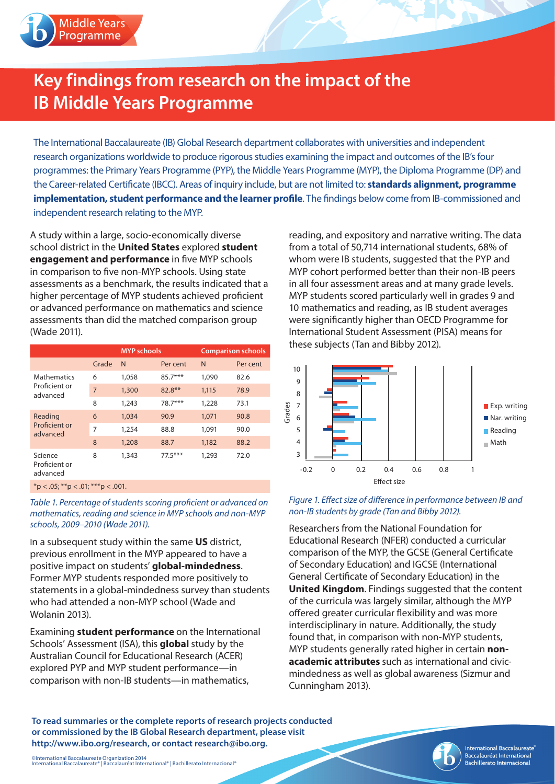

## **Key findings from research on the impact of the IB Middle Years Programme**

The International Baccalaureate (IB) Global Research department collaborates with universities and independent research organizations worldwide to produce rigorous studies examining the impact and outcomes of the IB's four programmes: the Primary Years Programme (PYP), the Middle Years Programme (MYP), the Diploma Programme (DP) and the Career-related Certificate (IBCC). Areas of inquiry include, but are not limited to: **standards alignment, programme implementation, student performance and the learner profile**. The findings below come from IB-commissioned and independent research relating to the MYP.

A study within a large, socio-economically diverse school district in the **United States** explored **student engagement and performance** in five MYP schools in comparison to five non-MYP schools. Using state assessments as a benchmark, the results indicated that a higher percentage of MYP students achieved proficient or advanced performance on mathematics and science assessments than did the matched comparison group (Wade 2011).

|                                                 |                | <b>MYP</b> schools |           | <b>Comparison schools</b> |          |
|-------------------------------------------------|----------------|--------------------|-----------|---------------------------|----------|
|                                                 | Grade          | N                  | Per cent  | N                         | Per cent |
| <b>Mathematics</b><br>Proficient or<br>advanced | 6              | 1,058              | $85.7***$ | 1,090                     | 82.6     |
|                                                 | $\overline{7}$ | 1,300              | 82.8**    | 1,115                     | 78.9     |
|                                                 | 8              | 1,243              | 78.7***   | 1,228                     | 73.1     |
| Reading<br>Proficient or<br>advanced            | 6              | 1,034              | 90.9      | 1,071                     | 90.8     |
|                                                 | 7              | 1,254              | 88.8      | 1,091                     | 90.0     |
|                                                 | 8              | 1,208              | 88.7      | 1,182                     | 88.2     |
| Science<br>Proficient or<br>advanced            | 8              | 1,343              | $77.5***$ | 1,293                     | 72.0     |

 $*p < .05; **p < .01; **p < .001$ .

*Table 1. Percentage of students scoring proficient or advanced on mathematics, reading and science in MYP schools and non-MYP schools, 2009–2010 (Wade 2011).*

In a subsequent study within the same **US** district, previous enrollment in the MYP appeared to have a positive impact on students' **global-mindedness**. Former MYP students responded more positively to statements in a global-mindedness survey than students who had attended a non-MYP school (Wade and Wolanin 2013).

Examining **student performance** on the International Schools' Assessment (ISA), this **global** study by the Australian Council for Educational Research (ACER) explored PYP and MYP student performance—in comparison with non-IB students—in mathematics,

reading, and expository and narrative writing. The data from a total of 50,714 international students, 68% of whom were IB students, suggested that the PYP and MYP cohort performed better than their non-IB peers in all four assessment areas and at many grade levels. MYP students scored particularly well in grades 9 and 10 mathematics and reading, as IB student averages were significantly higher than OECD Programme for International Student Assessment (PISA) means for these subjects (Tan and Bibby 2012).



## *Figure 1. Effect size of difference in performance between IB and non-IB students by grade (Tan and Bibby 2012).*

Researchers from the National Foundation for Educational Research (NFER) conducted a curricular comparison of the MYP, the GCSE (General Certificate of Secondary Education) and IGCSE (International General Certificate of Secondary Education) in the **United Kingdom**. Findings suggested that the content of the curricula was largely similar, although the MYP offered greater curricular flexibility and was more interdisciplinary in nature. Additionally, the study found that, in comparison with non-MYP students, MYP students generally rated higher in certain **nonacademic attributes** such as international and civicmindedness as well as global awareness (Sizmur and Cunningham 2013).

**To read summaries or the complete reports of research projects conducted or commissioned by the IB Global Research department, please visit http://www.ibo.org/research, or contact research@ibo.org.**